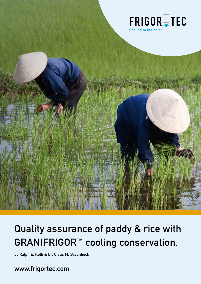

# Quality assurance of paddy & rice with GRANIFRIGOR™ cooling conservation.

by Ralph E. Kolb & Dr. Claus M. Braunbeck

www.frigortec.com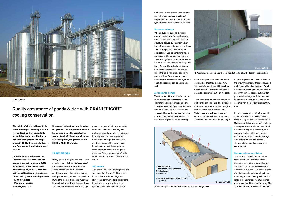

The origin of rice is believed to lie in the Himalayas. Starting in China, rice cultivation then spread into other Asian countries. The North Africans brought rice to Europe around 100 BC. Rice came to Central and South America with Columbus in 1493.

Botanically, rice belongs to the Gramineae (or Poaceae) and the genus Oryza sativa. Around 8,000 different varieties of rice have been identified, of which many are actively cultivated. In rice milling, three basic types are distinguished:

- Long-grain rice
- Medium-grain rice
- Short-grain rice

## Quality assurance of paddy & rice with GRANIFRIGOR™ cooling conservation.

Rice requires heat and ample water for growth. The temperature should be, depending on the variety, between 20 and 35 °C and one kilogram of rice requires, for growth, about 3,000 to 10,000 l of water.

#### Paddy storage

Paddy grows during the harvest season in a short period of time in large quantities and is stored immediately after drying. Depending on the climate conditions and available water supply, multiple harvests per year are possible. During the storage time, it is important to maintain the quality of the rice. There are basic requirements on the storage

process. In general, storage for paddy must be easily accessible, dry and protected from the weather. In addition, it must prevent access by rodents, birds, cats and dogs. The materials used for storage of the paddy must be suitable. In the following the two most important types of storage are described from a perspective of maintaining quality by grain cooling conservation.

#### **Silo system**

A paddy silo has the advantage that it is well closed off (Figure 1). This keeps birds, rodents, cats and dogs out. However, a common silo is not airtight. Filling and emptying follows clear specifications and can be automated

well. Modern silo systems are usually made from galvanised sheet steel; larger systems, on the other hand, are typically made from reinforced concrete.

#### **Warehouse storage**



**1 Silo system**

When a suitable building structure already exists, warehouse storage is often chosen and integrated into the structure (Figure 2). The main advantage of warehouse storage is that it can also be temporarily used for other applications. Use as a machine hall is not permissible for hygienic reasons. The most significant problem for warehouse storage is discharging the paddy bulk. Removal is typically performed with shovel excavators. This can damage the air distribution. Ideally, the paddy is filled from above, e.g. with stationary and moveable conveyor belts. The filling process can be automated well.



**3 The principle of air distribution in a warehouse storage facility**



The variation of the air distribution has to be dimensioned according to the diameter and height of the silo. For a silo system with multiple silos, the intake nozzles of the individual silos are often connected to a central air line. For each silo, an extra shut-off device is necessary. Flaps or gate valves are typically

used. Fittings such as bends must be designed so that they facilitate flow. 90° bends (elbows) should be avoided where possible. Branches and bends should be designed in 30° or 45° parts.

The diameter of the main line must be sufficiently dimensioned. The air speed in the channel should be low enough so that pressure loss is not too large. Water traps in which condensation could accumulate should be avoided. The main line should not be too long to

keep energy loss low. Cool air flows in the line, which means that an insulated main channel is advantageous. For air distribution, cooling beams are used for silos with conical hopper outlet. Often perforated underground channels are laid in the silo floor; here it should be ensured that there is sufficient outflow area.

For warehouse storage that is loaded and unloaded with shovel excavators, there is the problem of the trafficability. Underground channels or half-shells as above ground channels are used for air distribution (Figure 3). Recently, telescopic tubes have also been used, which are retracted out of the storage area before the grain is removed. The use of drainage hoses is not recommended.

#### **Storage exhaust ventilation**

Similar to air distribution, the importance of exhaust ventilation of the storage area is often underestimated. Air removal is just as important as air distribution. A sufficient number, a good distribution and a suitable size of vents must be provided. The dry, cold air that is fed into the storage facility absorbs energy and humidity from the paddy. The air must then be removed via ventilation

**2 Warehouse storage with central air distribution for GRANIFRIGOR™ - grain cooling**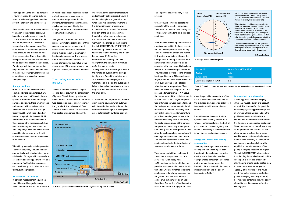4 5

© FrigorTec GmbH

|         | 20 (e.g. from 35 °C to 15 °C) |
|---------|-------------------------------|
|         | Asia                          |
|         | <b>Tropics</b>                |
| [kWh/t] | $6-8$                         |

openings. The vents must be installed circumferentially. Of course, exhaust vents must be equipped with weather protection for rain and a bird screen.

Fans are also used for effective exhaust ventilation of the storage space. Exhaust fans should transport roughly 1.5 to 2 times the volume flow of the maximum possible air flow that is transported in the storage area. The exhaust fans do not need to generate extra pressure and thus can be relatively inexpensive. They only need to transport the air volume over the pile in the so-called head room to the outside. For storage facilities that are not too long, the exhaust fans can be installed in the gable. For large warehouses, the exhaust fans are placed on the roof along the ridge.

#### **Storage handling**

Grain crops should be cleaned and examined before being stored. Shrivelled grains and chaff typically have a greater Fusarium burden. In foreign particles and dusts, there are microbes and moulds, which can lead to the formation of hot spots. The storage facility must be well cleaned and dry before bringing in the harvest [1]. Air distribution must also be included in these preventative measures. All channels must be dry and free of dust and dirt. Old paddy stocks and new harvests should be stored separately [2]. All extraneous seeds and impurities have to be avoided.

When filling, cones have to be prevented. Therefore the paddy should be either automatically well distributed or manually levelled. Storages with large surface areas have to be equipped with levelling equipment (baffle plates, spreaders, etc.) to achieve good distribution with a low level of segregation.

#### **Measurement technology**

In general, measurement equipment should be used in a grain storage facility to monitor the bulk temperature. In warehouse storage facilities, typical probe thermometers are used to measure the temperature, in silo systems, temperature sensor lines on steel cables are used. Ideally, the storage temperature is measured and documented continuously.





A single measurement point is not representative for a grain bulk. For this reason, a number of measurement sensors must be used or measurements must be taken at a number of locations in succession. The temperature measurement is an important aspect of monitoring the status of the stored goods. If the temperature is too high at a location, action must be taken.

### The cooling conservation process

The fan of the GRANIFRIGOR™ – grain cooling device draws in the ambient air (Figure 4). The air heats up in the fan due to friction. The increase in temperature depends on the counterpressure of the grain bulk, the delivered air flow and the efficiency of the fan. This air is then cooled by an air conditioner, the

evaporator, to the desired temperature and is thereby dehumidified. Dehumidification takes place in general except when the air is extremely dry. During the dehumidification process, water (condensation) is created. The relative humidity of the air increases even though the water content is lower, as the cold air can hold less water than warm air. This chilled air then goes to the HYGROTHERM™. The HYGROTHERM™ unit heats up the cold, moist air. This lowers the relative humidity and the air becomes dry [3]. Since the HYGROTHERM™ heating unit uses energy from the chilled air, it involves no further energy costs.

The dry, cold air is fed through a hose in the ventilation system of the storage facility and is forced through the bulk. This process can be employed in a warehouse or in a silo. The outgoing air is led outside via exhaust vents, extracting absorbed heat and moisture from the grain bulk.

At lower outside temperatures, modern grain cooling devices switch automatically to ventilation mode. If the ambient temperature rises again, the compressor is automatically switched back on.

**4 Process principle of the GRANIFRIGOR™ – grain cooling conservation**



#### **5 Storage period timer for grain**

## **Cooling [K] Region Climate zone** Energy consumption in

**Storage period [days]**

This improves the profitability of the process.

GRANIFRIGOR™ systems operate independently of the weather conditions. The device can also be used during rain or fog as well as under humid tropical conditions.

After the start of cooling, the harvested crop becomes cold in the lower area. At the top, the temperature rises initially. The air absorbs the energy and humidity from the grain before it leaves the storage area at the top, saturated with humidity and heat. Once cold air escapes from the top, the paddy has been "cooled all the way through". Under no circumstances may the cooling process be stopped too early. This could cause major problems in the upper area of the grain bulk. Cooling can be stopped when the paddy temperature 20 cm below the surface of the grain bulk has reached a temperature 2 to 4 K above the temperature of the chilled air supply to the harvest crop. A slight temperature difference between the bottom and the top layer may remain due to the air resistance of the bulk. A cooling cycle may only be interrupted temporarily to prioritise an endangered lot. Once the interrupted cooling cycle is resumed, the cooling is continued at the same set temperature values. Any interruption should only last for short period of time. After the cooling cycle is completed, all openings and connections are closed. This protects against the formation of condensation due to the introduction of warmer air and against animals.

The storage period timer in Figure 5 shows that a temperature drop from 24 °C to 10 °C for paddy with 14.5% moisture content multiplies the possible storage duration by five (position a to b). Values for other conditions can be read quite simply by connecting the grain's moisture level with the actual grain temperature by an additional line. The section of the line on the vertical axis of the storage period timer

gives the possible storage time of the grain. A second section point shows the extended storage period at lowered temperature and known moisture content.

It must be noted, however, that the specifications are only approximate values. The temperature of the bulk of grain must be checked regularly and cooled if necessary. If the temperature is too high, re-cooling is necessary.

### **Energy consumption for cooling conservation**

The many advantages of conservation cooling come at a cost. Apart from investing in the cooling device, extra electric power is needed as drive energy. Energy consumption depends on the outside temperature, the humidity of the outside air, the paddy's moisture content and the paddy temperature (Table 1).

**Table 1: Empirical values for energy consumption for one cooling process of paddy in the** 

**tropics**

#### **Drying effect through cooling**

A cooling process creates a drying effect that must be taken into account as well. The drying effect for paddy for one cooling cycle is approximately 0.75% in average. Wherein it depends on the paddy temperature and moisture content and the temperature and relative humidity of the supplied cooling air. Since the supplied cooling air warms up at the grain bulk and warmer air can absorb more moisture, the process conditions are continuously changing. If the relative humidity of the supplied cooling air is significantly below the equilibrium moisture content of the paddy, the drying effect will be higher. The set HYGROTHERM™ after-heating for adjusting the relative humidity of the cooling air is therefore crucial. The after-heating should not be set too high to avoid unnecessary energy use. Typically, after-heating of 3 to 7 K is used. For higher moisture contents of paddy, the drying effect is greater [4]. For moisture contents  $> 19%$ , the paddy should be dried in a dryer before the cooling cycle.

The storage period timer shows that a temperature drop of 24 °C to 10 °C for grain with 14.5% moisture content multiplies the possible storage duration by five (position a to b).

Values for other conditions can be read quite simply by connecting the grain's moisture level with the actual grain temperature by an additional line. The section of the line on the vertical axis of the storage period timer gives the storage time of the grain. A second section point shows the extended storage period at low temperature and known moisture content.

It must be noted, however, that the specifications are only approximate values. In any event, the temperature of the bulk of grain must be checked regularly and cooled if necessary.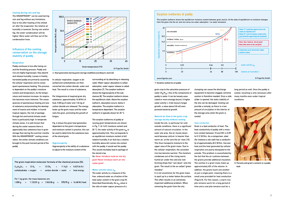

#### **Cooling during rain and fog**

The GRANIFRIGOR™ can be used during rain and fog without any limitations. Due to the after-heating of the chilled air after the evaporator, the relative air humidity is lowered. During rain and/or fog, the water condensation will be higher. More water will flow out of the condensation hose.

### Influence of the cooling conservation on the storage stability of paddy

#### **Respiration**

Paddy continues to live after being cut and the threshing process. Paddy and rice are highly hygroscopic; they absorb and release humidity. Losses in freshly harvested paddy are primarily caused by the cellular respiration and its consequent spontaneous heating. This process is dependent on the paddy's moisture content and temperature. As the temperature and moisture increase, its respiration becomes more intensive. The consequences of spontaneous heating are loss of substance and promoting the development of insects and mildew. In humid tropical regions, the risk of spoilage through hot and humid climate conditions is particularly high. In temperate climate zones, it is well-known that during the cooler seasons there is appreciably less substance loss in grain storage than during the summer months. With the GRANIFRIGOR™ cooling conservation, the winter climate conditions are brought to the post-harvest period of the paddy.

In cellular respiration, oxygen is absorbed and carbohydrates are then converted into carbon dioxide, water and heat. The result is a loss of substance.

Per kilogramme of respired grain dry substance, approximately 16.48 MJ of heat, 0.58 kg of water and 1.54 kg of carbon dioxide are released. The energy heats up the grain mass and the water wets the grain, promoting the growth of fungus.

Fig. 6 shows the grain heat generation dependent on the grain's temperature and moisture content in practice, this can be used to determine the substance loss of the stored grain.

#### **Hygroscopicity**

Hygroscopicity is the ability of a substance to adjust to the moisture content of the

surrounding air by absorbing or releasing water. Water vapour absorption is called adsorption, water vapour release is called desorption [7]. The sorption isotherm shows the hygroscopicity of the substances [8]. The sorption isotherm shows the equilibrium state. Above the sorption isotherm, desorption occurs, below it adsorption. The sorption isotherm is temperature dependent. The sorption isotherm is typically shown for 20 °C.

The sorption isotherms of paddy at varying grain temperatures are shown in Fig. 7. At 14.5% moisture content and 20 °C, the water activity of the grain  $a_{w}$  is approximately 0.64. This corresponds to an equilibrium moisture content of 64% relative humidity. If air that has a relative humidity above 64% comes into contact with the paddy, it would wet the paddy. This would inevitably lead to spoilage of the stored crop.

So: Never introduce moist air into dry grain! Never introduce warm air into cooler grain!

#### **Water activity value aw**

The water activity is a measure of the free, unbound water as a fraction of the total water content in the grain crop [9]. Described theoretically, the  $a_{w}$  value is the ratio of water vapour pressure of a



**6 Heat generation during grain storage modified according to Jouin [6]** 

| The grain respiration molecular formula of the chemical process [5]: |  |  |  |
|----------------------------------------------------------------------|--|--|--|
|----------------------------------------------------------------------|--|--|--|



**8 Porosity and grain's contacts in a paddy bulk**

| $C_{12}H_{22}O_{11}$ + 12 $O_2$ -> 12 $CO_2$ + 11 $H_2O$ + 5,637.64 KJ    |  |  |  |
|---------------------------------------------------------------------------|--|--|--|
| carbohydrates + oxygen $\rightarrow$ carbon dioxide + water + heat energy |  |  |  |

|  | For 1 kg grain, the mass balances are: |  |                                                                                                                |
|--|----------------------------------------|--|----------------------------------------------------------------------------------------------------------------|
|  |                                        |  | $1,000 \text{ q}$ + $1,122.81 \text{ q}$ = $1,543.86 \text{ q}$ + $578.95 \text{ q}$ + $16.48 \text{ MJ}$ heat |

#### **7 Sorption isotherms of paddy**

## Sorption isotherms of paddy



from the grain into the air and vice versa (no water adsorption / no water emission).

grain crop to the saturation pressure of water ( $P_G/P_w$ ). One of the components of paddy is water. It can be loosely associated or more strongly bound. A higher water activity  $(> 0.64)$  favours fungal growth, a value above 0.8 will even promote bacterial growth.

#### **Natural air flow in the grain crop storage facility without cooling**

Inside the silo, in particular for cold outside conditions, there is a significant amount of natural circulation. In the outer silo area, the air moves downward because cold air is heavier than warm air; at the core the air rises [10]. This thus transports moisture to the upper area of the grain mass. Due to the cellular respiration, the uncooled rice has become warmer. The moisture condenses out of the rising warm, humid air under the cold silo roof, forming drops that "rain down" onto the grain. The result is the so-called "green meadow".

It is not uncommon for the grain mass to spoil up to a meter below the surface. This often results in an extremely important additional problem: When removing the grain from the silo,

clumping can cause the discharge equipment to become clogged; extreme caution is therefore needed. Once a side slider is opened, the static stability of the silo can be damaged. Cooling can provide a remedy, as there is a low amount of circulation in the interior of the storage area when the grain is cooled.

#### Heat conduction

Grain is a bad conductor of heat. The heat conductivity of paddy with a moisture content between 10 and 20% is 0.09 to 0.12 W/Km. As a comparison, steel (for instance a silo wall) has a conductivity of approximately 45.3 W/Km. Harvest heat and the heat generated by cellular respiration are poorly dissipated to the outside. This problem is exacerbated by the fact that the air cushions between the grains provide additional insulation. The cavities in a grain mass make up approximately 40% of the volume. In addition, the grains touch one another at just a single point, meaning there is a small area provided for heat conduction (Figure 8). For this reason, a warm rice pile remains warm for a long period of time and a cool pile remains cool for a

long period as well. Once the paddy is cooled, recooling is only necessary after many months even under tropical conditions.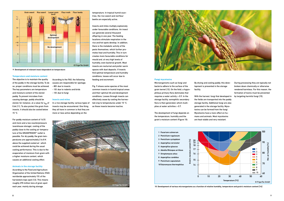





#### **Temperature and moisture content**

The objective is to maintain the quality of the paddy in the storage facility. To do so, proper conditions must be achieved. The key parameters are temperature and moisture content of the stored paddy. To prevent microbes from causing damage, paddy should be stored, for instance, at a value for  $a_w$  of 0.64 [11]. To also protect the grain from insects, it should also be cooled below 15 °C.

For paddy moisture content of 14.5% and more and a low counterpressure (warehouse storage), cooling of the paddy close to the cooling air temperature of the GRANIFRIGOR™ outlet is possible. For dry paddy, the grain temperatures are approximately 2 to 8 K above the supplied cooled air which could be achieved during the usual cooling performance. This is due to the evaporation of moisture from grain with a higher moisture content, which causes an additional cooling effect.

#### **Animals in the storage facility**

According to the Food and Agriculture Organization of the United Nations (FAO) worldwide approximately 15% of the harvested crops spoil [12]. This means roughly 270 million tons of grain spoil each year, mainly during storage.

According to the FAO, the following causes are responsible for spoilage: - 80% due to insects

- 10% due to rodents and birds
- 10% due to fungi

#### **Insects and mites**

In a rice storage facility, various types of insects may be encountered. One thing they all have in common is that they are more or less active depending on the

temperature. In tropical humid countries, the rice weevil and red flour beetle are especially active.



Insects and mites multiply explosively under favourable conditions. An insect can generate several thousand offspring in one year. The feeding locations stimulate respiration in the rice and hot spots develop. In addition, there is the metabolic activity of the pests themselves, which further promotes heat and humidity. This in turn creates more favourable conditions for mould and, at very high levels of humidity, even bacterial growth. Most insects are nocturnal and prefer warm spaces with dust deposits. If insects find optimal temperature and humidity conditions, losses will occur due to feeding and excrement.

Fig. 9 shows some species of the most common insects in humid tropical areas and their optimal life and development conditions. Losses through insects can effectively cease by cooling the harvested crop to temperatures under 15 °C, as these insects become inactive.

#### **Fungi mycotoxins**

Microorganisms such as fungi and bacteria adhere to the surface of the grain kernel [13]. On the field, a hygrophilous primary flora dominates that requires a water activity  $> 0.9$ . In the storage facility, osmophilic secondary flora is then generated, which multiplies at water activities > 0.7.

The development of fungi depends on the temperature, humidity and the grain's moisture content (Figure 10).

By drying and cooling paddy, this development is prevented in the storage facility.

With the harvest, fungi that developed in

the fields are transported into the paddy storage facility. Additional fungi are also generated in the storage facility. Mycotoxins can be formed from the fungi. Mycotoxins have a toxic effect on humans and animals. Most mycotoxins are heat-stable and very resistant.

**9 Development of relevant insect dependent on temperature** 

**10 Development of various microorganisms as a function of relative humidity, temperature and grain's moisture content [14]**

During processing they are typically not broken down chemically or otherwise rendered harmless. For this reason, the formation of toxins must be prevented by targeting harmful fungi [15].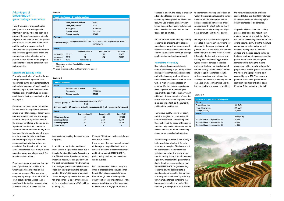### Advantages of GRANIFRIGOR™ – grain cooling conservation

The advantages of grain cooling for paddy and rice processing can be inferred in part by what has been said already. These advantages are directly targeted at the avoidance of storage and post-harvest losses. Both the quantity and the quality are preserved and additional advantages result for certain rice processing procedures. These are summarised in the following text to provide a clear picture on the purpose and benefits of cooling conservation of paddy and rice.

#### **Securing the quantity of rice**

Primarily, respiration of the rice during storage represents a gradual loss, determined by the storage temperature and moisture content of paddy. A calculation example is used to demonstrate this fact, using typical values for storage conditions in the tropics and subtropics (Example 1).

Comments on the example calculation: No one would leave paddy at a temperature of 30 °C for storage. Rather, a silo operator would try to lower the temperature in the grain by recirculation of the grain or ventilation with outside air. A potential humidification would be accepted. To now calculate the dry mass loss over the storage duration, the loss over time must be determined over time in multiple steps, in which the corresponding individual values are calculated. For the calculation of the actual total storage loss, multiple steps using the above formula are used. The results are then added.

From the example we can see that the loss of paddy can be considerable, which has a negative effect on the economic success of the operating company. By using a GRANIFRIGOR™ grain cooling device, losses can be significantly limited as the respiration activity is reduced at lower storage

| <b>Respiration losses - dry substances loss</b> |                        |                  |  |
|-------------------------------------------------|------------------------|------------------|--|
| Given:                                          |                        |                  |  |
|                                                 | Paddy moisture content | 14.5%            |  |
|                                                 | Paddy temperature      | $30^{\circ}$ C * |  |
|                                                 | Paddy price            | 300 EUR/t        |  |
|                                                 | Storage period         | 8 months         |  |
|                                                 | Storage quantity       | 10.000 t         |  |
| Formula:                                        |                        |                  |  |

| heat generation [MJ/t, day] ** x storage duration [day] x storage mass [t]<br>Substance loss $(t)$ =<br>15.000 [MJ/t] |                |                     |               |                |
|-----------------------------------------------------------------------------------------------------------------------|----------------|---------------------|---------------|----------------|
| Result:                                                                                                               |                |                     |               |                |
|                                                                                                                       |                | Substance loss [t]  | Mass loss [%] | Loss [EUR] *** |
| uncooled at                                                                                                           | 30 °C **       | 128                 | 1.28          | 52.650         |
| uncooled at                                                                                                           | 25 °C          | 64                  | 0.64          | 26.325         |
| cooled at                                                                                                             | $10^{\circ}$ C | minimal $( \leq 1)$ |               |                |

After drying or direct from field in summer.

\*\* See Fig. 6.

\*\*\* Grain moisture content and husk taken into account

#### **Example 1:**

#### **Example 2:**

| <b>Loss due to insects</b>                  |                        |           |
|---------------------------------------------|------------------------|-----------|
| Given:                                      |                        |           |
|                                             | Paddy moisture content | 14%       |
|                                             | Paddy price            | 300 EUR/t |
|                                             | Storage quantity       | 10,000t   |
| Formula:                                    |                        |           |
| <b>Model of department model for 100 MI</b> |                        |           |

Damaged grain  $\left[\% \right] =$  Number of damaged grains  $[n] \times 100$  [t]  $1,000$ 

Dry mass loss  $[t] = 0.5$  x damaged grains  $\left[\% \right]$  x storage quantity  $\left[t\right]$  x  $(1 -$  paddy moisture content)

| Result:           |                   |                |            |
|-------------------|-------------------|----------------|------------|
|                   | Dry mass loss [t] | Paddy loss [%] | Loss [EUR] |
| 10% damaged grain | 430               | 6.25           | 187.500    |
| 5% damaged grain  | 215               | 3.125          | 93.750     |
| 1% damaged grain  | 43                | 0.625          | 18.750     |
| Cooled grain      | 0                 | -              | -          |

temperatures, making the mass losses negligible.

In addition to respiration, additional mass loss in the paddy can occur due to

insects, fungi and bacteria. According to the FAO estimates, insects are the most important hazard, causing up to 80% of the post-harvest losses [12]. Evaluating the damaged paddy, it quickly becomes clear just how significant the damage can be. If from 1,000 paddy grains just 10 are damaged by insects, the loss per ton of paddy is 4.3 kg of dry substance or for a moisture content of 14%, 6.25 kg of paddy [16].

Example 2 illustrates the hazard of mass loss due to insects.

It can be seen that even a small amount of damage to the paddy due to insects causes a high level of economic damage and that, by using GRANIFRIGOR™ – grain cooling devices, this mass loss can be avoided.

For completeness, bacteria, fungi and other microorganisms should be mentioned. They also contribute to mass loss, although their effect on paddy quality is of greater importance. For this reason, quantification of the losses due to direct attack is negligible, as due to

Additional head rice pro Additional head rice pro Additional head rice pro



changes in quality, the paddy is crucially affected and losses will be much greater, up to complete loss. Nevertheless, the use of cooling conservation brings the activity of bacteria, fungi and other microbes to a standstill so that losses can be limited.

Finally, it can be said that using cooling conservation of grains, physiological mass losses as well as losses caused by insects and microbes can be limited and the value achieved through storage can be maintained and guaranteed.

#### **Maintaining rice quality**

Rice is typically consumed directly without processing, if you disregard the milling process that makes rice edible and which has only a minor influence on decisive quality factors such as taste without high processing losses or expense. For this reason, a particular focus is placed on maintaining the quality of the paddy after the harvest. In addition to the consumption of rice, the use as seed must not be forgotten, which is no less important, as it ensures the yield and the next harvest.

The various quality criteria for paddy and rice are given in country-specific standards for trade. Addressing all of these is beyond the scope of this paper, and thus only a selected number will be discussed here, for which the cooling conservation is particularly positive.

A subjective parameter of rice quality is taste, which is evaluated differently from region to region. The issue is not the basic taste of the different rice varieties, but rather the purity of this specific quality factor. It should be noted again how important this parameter is due to the direct consumption of rice. With GRANIFRIGOR<sup>™</sup> – grain cooling conservation, the specific taste is maintained as it was after the harvest. Primarily, this is achieved by reducing unfavourable storage conditions that have an adverse effect on taste. This includes grain respiration, which leads

to spontaneous heating and release of water, thus providing favourable conditions for additional negative factors, such as insects and microbes. These can significantly affect taste, so that it can become musty, leading to a significant devaluation of the rice quality.

Damaged and discoloured rice grains are listed in the evaluation systems for rice quality. Damaged grains are not just the result of the use of post-harvest technology, but also the result of insect infestation. Eating by the insects and drilling holes to deposit eggs are the typical types of damage to the rice grains, which lead to a devaluation of the rice quality. Due to a lower temperature range in the storage facility, which slows down and reduces the activity of the insects, the quality risk of damaged grains is minimised and the harvest quality is ensured. In addition,

the yellow discolouration of rice is reduced [17] or avoided [18] by storage at low temperatures, allowing higher quality standards to be achieved.

As previously described, the cooling process also leads to a reduction of moisture or a drying effect. Due to the duration of the cooling conservation, the drying occurs slowly. Thus the moisture compensation in the paddy kernel between the dry zone at the outer surface and the core occurs gently so that only minimal stress occurs and the grains do not crack. The rice grain remains whole during the milling processing, which greatly reduces the proportion of broken grains. This allows the whole grain proportion to be increased by up to 20%. This means a potential increase in quality, which results in significantly higher sales. Example 3 illustrates the potential.

| Increase in proportion of whole grain |                  |
|---------------------------------------|------------------|
| Given:                                |                  |
| Price of head rice                    | <b>450 EUR/t</b> |
| Price of broken rice                  | <b>290 EUR/t</b> |
| Storage quantity                      | 10.000 t         |
| Result:                               |                  |
|                                       | Profit [EUR]     |
| Additional head rice proportion 5%    | 80,000           |
| Additional head rice proportion 3%    | 48,000           |
| Additional head rice proportion 1%    | 16.000           |
|                                       |                  |

#### **Example 3:**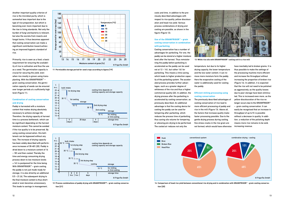

**14 Comparison of head rice yield between conventional rice drying and in combination with GRANIFRIGOR™ - grain cooling conservation [20]**



Another important quality criterion of rice is the microbial purity, which is somewhat less important due to the type of rice preparation, but which is becoming ever more important due to the rise in living standards. Not only the burden of fungi and bacteria is relevant, but also the excreta from insects and fungal toxins. It thus becomes apparent that cooling conservation can make a significant contribution toward achieving an improved hygienic standard of rice.

Primarily, rice is seen as a food; a basic requirement for ensuring the availability of rice is cultivation and thus the use as a seed. The germination capacity is crucial for securing the yield, even when rice mostly is grown using transplanting. With the GRANIFRIGOR™ – grain cooling conservation, the germination capacity of seeds can be ensured over longer periods at a sufficiently high level (Figure 11).

#### **Combination of cooling conservation and drying**



**11 Permissible storage period for seed crops according to Agena [19]**

Paddy is harvested with a moisture content that makes drying absolutely necessary to achieve storage life. Therefore, the drying capacity at harvest time is a process bottleneck, which can be significant depending on the harvest moisture content. This cannot be avoided if the rice quality is to be preserved. By using cooling conservation, this bottleneck can be bypassed without any loss. The increase of drying capacity has been widely described with performance increases of 30-40% [20]. Paddy is dried down to a moisture content of 16 – 18% and then cooled. Thereby the time and energy consuming drying process down to low moisture levels ≤ 14% is postponed for the time being. With GRANIFRIGOR™ – arain cooling, the paddy is not just made ready for storage, it is also dried by an additional 0.5 – 2% [4]. The subsequent drying to the final moisture content is thus shortened or even becomes unnecessary. This leads to savings in management,



**12 Process combinations of paddy drying with GRANIFRIGOR™ – grain cooling conserva tion [21]**

costs and time, in addition to the previously described advantages with respect to rice quality, yellow discolouration and head rice yield. Various process combinations of drying and cooling are possible, as shown in the figure (Figure 12).



**13 White rice silo with GRANIFRIGOR™ cooling unit in a rice mill**

### **Use of the GRANIFRIGOR™ – grain cooling conservation in combination with parboiling**

Cooling conservation has a number of advantages for parboiling. For one, the paddy can be stored at a higher moisture level after the harvest. Thus remoistening the paddy before parboiling is accelerated as the paddy can be used not at 12 – 14%, but rather 16% for parboiling. This means a time saving, which leads to higher production capacity of the parboiling system. The accelerated process provides further advantages, such as a greater degree of whiteness of the rice and thus a higher commercial quality [22]. In addition, the drying process after the parboiling is accelerated by cooling conservation, as previously described. An additional advantage is that the cooling device for cooling the paddy can be used for tempering after parboiling, which reduces the process time of parboiling, thus saving silo volume for tempering or allowing pre-drying to be performed. The cooled air reduces not only the

temperature, but due to its higher drying capacity, the lower temperature and the low water content, it can remove more moisture form the paddy. Here the evaporative cooling of the water is additionally used for cooling the paddy.

### **Efficient milling processing using cooling conservation**

The previously described advantages of cooling conservation of rice lead to more efficient processing of paddy and rice in the mill (Figure 13). Above all, the factors that increase quality make faster processing possible. Due to the gentle drying process during cooling, fine stress cracks in the rice grain are not formed, which would have otherwise

have inevitably led to broken grains. It is thus possible to make the settings of the processing machine more efficient and increase the throughput without increasing the proportion of broken rice (Figure 14). In addition, it is expected that the rice will not need to be polished as aggressively, as the quality losses due to poor storage have been eliminated. This is increased even more, as the yellow discolouration of the rice no longer occurs due to the GRANIFRIGOR™ – grain cooling conservation. It can easily be recognised that an increase in throughput of up to 5% is possible without a decrease in quality. In addition, a reduction of the polishing depth means more rice remains to be sold, increasing revenue.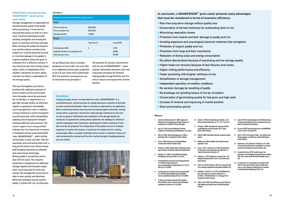

#### References

- 1 Deutscher Raiffeisenverband e.V. (2008), Hygienische Maßnahmen für den Umgang mit Getreide, Ölsaaten und Leguminosen, Nr. 532870, DG Verlag, Wiesbaden.
- 2 Hakl U. Dr. (2010), Vorratsschädlinge bei Getreide: Prophylaxe und Bekämpfung, Getreidemagazin 15. Jg. Bonn.
- 3 Kolb, R.E. (2001), Kühle Getreidelagerung, in: Mühle + Mischfutter, Heft 17, Verlag Moritz Schäfer, Detmold.
- 4 Boser F. (1980), Heizöl sparen mit Getreidekühlung, Fachzeitschrift Schweizer Handels-Börse.
- 5 Humpisch, G. (2003), Getreide lagern: Einführung in Grundlagen, Verfahren, Anwendung, Agrimedia, Bergen/Dumme.
- 6 Baitinger, Dr. A. (2009), Pressemitteilung Fachtagung Getreidelagerung Lahntal-Caldern, LLH, Kassel.
- 7 Gesamtverband der Deutschen Versicherungswirtschaft e.V., Defintion Sorptionsisothermen, www.containerhandbuch.de/chb/scha/scha\_10\_02\_05. html (as of: 21.03.2009).
- 8 Gesamtverband der Deutschen Versicherungswirtschaft e.V., Definition Hygroskopizität/ Sorptionsverhalten, www.tis-gdv.de/tis/misc/hygro.htm (as of: 21.03.2009).
- 9 Dr. Wernecke Feuchtemesstechnik GmbH, Definition Wasseraktivität, www.dr-wernecke.com/content/apps/ umwelt/awdi\_get.html (as of: 21.03.2009).
- 10 Brunner, H. (1980), Getreideki .<br>Mühle und Mischfuttertechnik
- 11 Skriegan E. (2008), Technologi erntebehandlung von Körnerf Moritz Schäfer, Detmold.
- 12 Seibel W. (2005), Warenkunde Dumme. 13 Mühlbauer, W. (2009), Handbu
- Anrimedia, Clenze. 14 Lacey, J.: Hill, S.T.: Edwards, M.
- in stored grains; their enumer Tropish stored product inform 15 Rodemann, B. (1999), Mykotox Biologische Bundesanstalt für
- Braunschweig. 16 Quitco, R.T. and N.M. Quindoza.
- Loss in Storage. Unpublished Te 17 Vasilenko E., Sosedov N. et al. Reis, Übersetzung der russisch
- Verlag Moritz Schäfer, Detmold 18 Theo Inn Chek (1989), Paper Workshop on Grain Drying and Bulk Handling and Storage System in ASEAN Pitsanuloke,

Thailand.

#### **Summary**

Cooling of paddy, brown rice and white rice with a GRANIFRIGOR™ is a worldwide proven, natural process for quality assurance of grains of all kinds. In warm and humid climates, there is virtually no alternative to its application. Due to continuing climate warming and increasing hygiene demands, cooling conservation is gaining in importance. Good storage maintenance and care, as well as good air distribution and ventilation in the storage facility are necessary. To operate the cooling device optimally, the settings for chilled air and the subsequent after-heating for adjusting the relative cooling air humidity must be set properly. The temperature of the paddy and rice is checked regularly to monitor the process. In particular for paddy and rice, cooling conservation offers a number of benefits which result in reduction of loss and cost increasing the revenue and thus the market strength of paddy granaries and rice millers.

| <b>Economic losses due to moving rice per move</b> |                  |            |  |  |
|----------------------------------------------------|------------------|------------|--|--|
| Given:                                             |                  |            |  |  |
| Price of head rice                                 | <b>450 EUR/t</b> |            |  |  |
| Price of broken rice                               | <b>290 EUR/t</b> |            |  |  |
| Storage quantity                                   | 10,000t          |            |  |  |
| Result:                                            |                  |            |  |  |
|                                                    | Rice loss [t]    | Loss [EUR] |  |  |
| Grinding loss 0.06%                                | 6                | 2.700      |  |  |
| Additional broken rice proportion 3%<br>48,000     |                  |            |  |  |
| 50.700<br>Total loss per move                      |                  |            |  |  |

- Risk-free long-term storage without quality loss
- Conservation of harvest freshness for outstanding taste of rice
- Minimizing respiration losses
- Protection from insects and their damage to paddy and rice
- Avoiding expensive and unecological chemical treatment like fumigation
- Protection of organic paddy and rice
- Protection from fungi and their mycotoxins
- Reduction of drying costs and energy consumption
- No yellow discoloration because of overdrying and low storage quality
- Higher head rice recovery because of less fissures and cracks
- Higher milling performance and efficiency
- Faster parboiling with brighter whitness of rice
- Simplification of storage management
- Independent operation of weather conditions
- No aeration damage by rewetting of paddy
- No breakage nor grinding losses of rice by circulation
- Conservation of germinating quality for fast grow and high yield
- Increase of revenue and improving of market position
- Short amortization period

#### **Simplification of storage by using GRANIFRIGOR™ – grain cooling conservation**

Storage management is responsible for maintaining the quality of the paddy before processing. It must also be ensured that losses are kept to a minimum. Common techniques include aerating, fumigation and moving the grain to avoid heat and insect damage. When aerating the paddy, the temperature and the relative humidity of the ambient air must be observed to avoid or minimise damage to the paddy. In tropical conditions where the grain is cultivated, this is difficult to achieve. It can clearly be seen that cooling conservation, which is independent of the weather, represents an easier option and does not lead to a degradation of the storage quality.

| Brunner, H. (1980), Getreidekühlung in Stahlsilos, in: Die<br>Mühle und Mischfuttertechnik, Jq. 117, H. 32, S. 423-424.                  | 19 | Agena MU (1961) Untersuchungen über die Kälteeinwirkung<br>auf lagernde Getreidefrüchte mit verschiedenen Wasserge-<br>halten. Dissertation Universität Bonn.        |
|------------------------------------------------------------------------------------------------------------------------------------------|----|----------------------------------------------------------------------------------------------------------------------------------------------------------------------|
| Skriegan E. (2008), Technologie der Lagerung und Nach-<br>erntebehandlung von Körnerfrüchten, Teil 2, Verlag<br>Moritz Schäfer, Detmold. | 20 | Piccarolo (1988), Konservierungsversuch mit GRANIFRIGOR,<br>Livorno. Ferraris. Universität Turin.                                                                    |
| Seibel W. (2005), Warenkunde Getreide, Agrimedia, Bergen/<br>Dumme.                                                                      | 21 | Barth, F. (1995), Cold storage of Paddy - the solution to your<br>storage problems, in: World Grain, Sosland Publishing Co,<br>Kansas City/USA.                      |
| Mühlbauer, W. (2009), Handbuch der Getreidetrocknung,                                                                                    |    |                                                                                                                                                                      |
| Agrimedia, Clenze.                                                                                                                       | 22 | Bhattacharya, K.R.& Subba Rao, P.V.& Swamy, Y.M.I. (1966),<br>Processing and quality factors in parboiling of rice, Mysore,                                          |
| Lacey, J.; Hill, S.T.; Edwards, M.A. (1980), Microorganisms<br>in stored grains; their enumeration and significance, in:                 |    | Central Food Technological Research Institute, India.                                                                                                                |
| Tropish stored product information, 39.                                                                                                  | 23 | Josephine Mina Boac (2010), Quality changes, dust<br>generation, and commingling during grain elevator handling                                                      |
| Rodemann, B. (1999), Mykotoxine im Getreide, Rep. 2-99,<br>Biologische Bundesanstalt für Land- und Forstwirtschaft,<br>Braunschweig.     |    | PH D. Thesis, Kansas State University, Manhattan, Kansas,<br>USA.                                                                                                    |
|                                                                                                                                          | 24 | H. Zareiforoush, M.H. Komarizadeh, M.R. Alizadeh (2010).                                                                                                             |
| Quitco, R.T. and N.M. Quindoza. (1986). Assessment of Paddy<br>Loss in Storage. Unpublished Terminal Report. NAPHIRE. 46 p.              |    | Effect of screw auger rotational speed on paddy (Oryza<br>sativa L.) grains damage in handling process, Australian<br>Journal Agricultural Engineering 1(4):136-140. |
| Vasilenko E., Sosedov N. et al. (1976), Die Gelbfärbung von<br>Reis, Übersetzung der russischen, Mukomol'no, in:                         |    |                                                                                                                                                                      |
| Die Mühle + Mischfuttertechnik, 113. Jahrgang, Heft 17,<br>Verlag Moritz Schäfer, Detmold.                                               |    |                                                                                                                                                                      |

The use of fumigation can only be justified with sufficient protection of human health and the environment. Here the paddy cannot be processed for 3 to 30 days. A requirement is a gas-tight storage facility, as otherwise regular re-gassing is unavoidable, incurring significant costs. In addition, arising resistance to several fumigants must be assumed, which necessitates updating and changing the fumigant, creating additional cost pressure. The use for organic rice is not permitted, making clear the importance of residue in foodstuffs and the associated health risks. GRANIFRIGOR™ – grain cooling conservation is easy and safe, with low operating costs and lasting effect over a long period without any residue issues, that fumigation becomes an obsolete and unnecessary technology. Moving paddy is sometimes used to deal with hot spots. This requires investment in equipment for additional storage capacity and transport equipment, incurring costs for work and energy. The management must also be able to react quickly and effectively. While this technique can be used for paddy, it cannot with rice, as otherwise

the grinding losses due to conveyor equipment of up to 0.06% can occur [23] or an additional broken grain proportion of up to 3% per move may be generated [24]. The economic consequences can be illustrated using Example 4.

The potential for process improvement with the use of GRANIFRIGOR™ – grain cooling conservation becomes clear and it becomes necessary for forwardlooking paddy storage facilities and rice mills to secure and expand their market position.

## **In conclusion, a GRANIFRIGOR™ grain cooler presents many advantages that must be considered in terms of economic efficiency:**

#### **Example 4:**